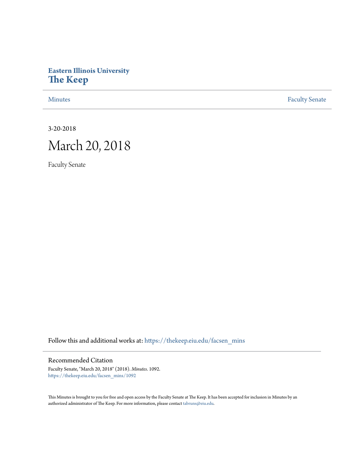# **Eastern Illinois University [The Keep](https://thekeep.eiu.edu?utm_source=thekeep.eiu.edu%2Ffacsen_mins%2F1092&utm_medium=PDF&utm_campaign=PDFCoverPages)**

[Minutes](https://thekeep.eiu.edu/facsen_mins?utm_source=thekeep.eiu.edu%2Ffacsen_mins%2F1092&utm_medium=PDF&utm_campaign=PDFCoverPages) **[Faculty Senate](https://thekeep.eiu.edu/fac_senate?utm_source=thekeep.eiu.edu%2Ffacsen_mins%2F1092&utm_medium=PDF&utm_campaign=PDFCoverPages)** 

3-20-2018

# March 20, 2018

Faculty Senate

Follow this and additional works at: [https://thekeep.eiu.edu/facsen\\_mins](https://thekeep.eiu.edu/facsen_mins?utm_source=thekeep.eiu.edu%2Ffacsen_mins%2F1092&utm_medium=PDF&utm_campaign=PDFCoverPages)

## Recommended Citation

Faculty Senate, "March 20, 2018" (2018). *Minutes*. 1092. [https://thekeep.eiu.edu/facsen\\_mins/1092](https://thekeep.eiu.edu/facsen_mins/1092?utm_source=thekeep.eiu.edu%2Ffacsen_mins%2F1092&utm_medium=PDF&utm_campaign=PDFCoverPages)

This Minutes is brought to you for free and open access by the Faculty Senate at The Keep. It has been accepted for inclusion in Minutes by an authorized administrator of The Keep. For more information, please contact [tabruns@eiu.edu](mailto:tabruns@eiu.edu).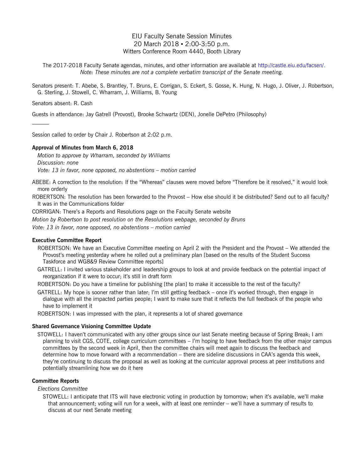### EIU Faculty Senate Session Minutes 20 March 2018 ▪ 2:00-3:50 p.m. Witters Conference Room 4440, Booth Library

The 2017-2018 Faculty Senate agendas, minutes, and other information are available at [http://castle.eiu.edu/facsen/.](http://castle.eiu.edu/facsen/) *Note: These minutes are not a complete verbatim transcript of the Senate meeting.*

Senators present: T. Abebe, S. Brantley, T. Bruns, E. Corrigan, S. Eckert, S. Gosse, K. Hung, N. Hugo, J. Oliver, J. Robertson, G. Sterling, J. Stowell, C. Wharram, J. Williams, B. Young

Senators absent: R. Cash

 $\mathcal{L}_\text{max}$ 

Guests in attendance: Jay Gatrell (Provost), Brooke Schwartz (DEN), Jonelle DePetro (Philosophy)

Session called to order by Chair J. Robertson at 2:02 p.m.

#### **Approval of Minutes from March 6, 2018**

*Motion to approve by Wharram, seconded by Williams Discussion: none Vote: 13 in favor, none opposed, no abstentions – motion carried*

ABEBE: A correction to the resolution: If the "Whereas" clauses were moved before "Therefore be it resolved," it would look more orderly

ROBERTSON: The resolution has been forwarded to the Provost – How else should it be distributed? Send out to all faculty? It was in the Communications folder

CORRIGAN: There's a Reports and Resolutions page on the Faculty Senate website

*Motion by Robertson to post resolution on the Resolutions webpage, seconded by Bruns*

*Vote: 13 in favor, none opposed, no abstentions – motion carried*

#### **Executive Committee Report**

- ROBERTSON: We have an Executive Committee meeting on April 2 with the President and the Provost We attended the Provost's meeting yesterday where he rolled out a preliminary plan [based on the results of the Student Success Taskforce and WG8&9 Review Committee reports]
- GATRELL: I invited various stakeholder and leadership groups to look at and provide feedback on the potential impact of reorganization if it were to occur; it's still in draft form

ROBERTSON: Do you have a timeline for publishing [the plan] to make it accessible to the rest of the faculty?

GATRELL: My hope is sooner rather than later; I'm still getting feedback – once it's worked through, then engage in dialogue with all the impacted parties people; I want to make sure that it reflects the full feedback of the people who have to implement it

ROBERTSON: I was impressed with the plan, it represents a lot of shared governance

#### **Shared Governance Visioning Committee Update**

STOWELL: I haven't communicated with any other groups since our last Senate meeting because of Spring Break; I am planning to visit CGS, COTE, college curriculum committees – I'm hoping to have feedback from the other major campus committees by the second week in April, then the committee chairs will meet again to discuss the feedback and determine how to move forward with a recommendation – there are sideline discussions in CAA's agenda this week, they're continuing to discuss the proposal as well as looking at the curricular approval process at peer institutions and potentially streamlining how we do it here

#### **Committee Reports**

*Elections Committee*

STOWELL: I anticipate that ITS will have electronic voting in production by tomorrow; when it's available, we'll make that announcement; voting will run for a week, with at least one reminder – we'll have a summary of results to discuss at our next Senate meeting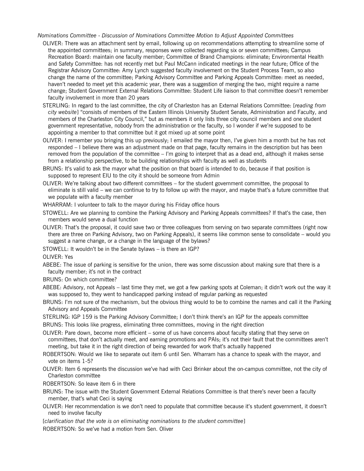#### *Nominations Committee* - *Discussion of Nominations Committee Motion to Adjust Appointed Committees*

- OLIVER: There was an attachment sent by email, following up on recommendations attempting to streamline some of the appointed committees; in summary, responses were collected regarding six or seven committees; Campus Recreation Board: maintain one faculty member; Committee of Brand Champions: eliminate; Environmental Health and Safety Committee: has not recently met but Paul McCann indicated meetings in the near future; Office of the Registrar Advisory Committee: Amy Lynch suggested faculty involvement on the Student Process Team, so also change the name of the committee; Parking Advisory Committee and Parking Appeals Committee: meet as needed, haven't needed to meet yet this academic year, there was a suggestion of merging the two, might require a name change; Student Government External Relations Committee: Student Life liaison to that committee doesn't remember faculty involvement in more than 20 years
- STERLING: In regard to the last committee, the city of Charleston has an External Relations Committee: [*reading from city website*] "consists of members of the Eastern Illinois University Student Senate, Administration and Faculty, and members of the Charleston City Council," but as members it only lists three city council members and one student government representative, nobody from the administration or the faculty, so I wonder if we're supposed to be appointing a member to that committee but it got mixed up at some point
- OLIVER: I remember you bringing this up previously; I emailed the mayor then, I've given him a month but he has not responded – I believe there was an adjustment made on that page, faculty remains in the description but has been removed from the population of the committee – I'm going to interpret that as a dead end, although it makes sense from a relationship perspective, to be building relationships with faculty as well as students
- BRUNS: It's valid to ask the mayor what the position on that board is intended to do, because if that position is supposed to represent EIU to the city it should be someone from Admin
- OLIVER: We're talking about two different committees for the student government committee, the proposal to eliminate is still valid – we can continue to try to follow up with the mayor, and maybe that's a future committee that we populate with a faculty member

WHARRAM: I volunteer to talk to the mayor during his Friday office hours

- STOWELL: Are we planning to combine the Parking Advisory and Parking Appeals committees? If that's the case, then members would serve a dual function
- OLIVER: That's the proposal, it could save two or three colleagues from serving on two separate committees (right now there are three on Parking Advisory, two on Parking Appeals), it seems like common sense to consolidate – would you suggest a name change, or a change in the language of the bylaws?
- STOWELL: It wouldn't be in the Senate bylaws is there an IGP?

OLIVER: Yes

ABEBE: The issue of parking is sensitive for the union, there was some discussion about making sure that there is a faculty member; it's not in the contract

BRUNS: On which committee?

- ABEBE: Advisory, not Appeals last time they met, we got a few parking spots at Coleman; it didn't work out the way it was supposed to, they went to handicapped parking instead of regular parking as requested
- BRUNS: I'm not sure of the mechanism, but the obvious thing would to be to combine the names and call it the Parking Advisory and Appeals Committee
- STERLING: IGP 159 is the Parking Advisory Committee; I don't think there's an IGP for the appeals committee

BRUNS: This looks like progress, eliminating three committees, moving in the right direction

OLIVER: Pare down, become more efficient – some of us have concerns about faculty stating that they serve on committees, that don't actually meet, and earning promotions and PAIs; it's not their fault that the committees aren't meeting, but take it in the right direction of being rewarded for work that's actually happened

- ROBERTSON: Would we like to separate out item 6 until Sen. Wharram has a chance to speak with the mayor, and vote on items 1-5?
- OLIVER: Item 6 represents the discussion we've had with Ceci Brinker about the on-campus committee, not the city of Charleston committee

ROBERTSON: So leave item 6 in there

- BRUNS: The issue with the Student Government External Relations Committee is that there's never been a faculty member, that's what Ceci is saying
- OLIVER: Her recommendation is we don't need to populate that committee because it's student government, it doesn't need to involve faculty

[*clarification that the vote is on eliminating nominations to the student committee*]

ROBERTSON: So we've had a motion from Sen. Oliver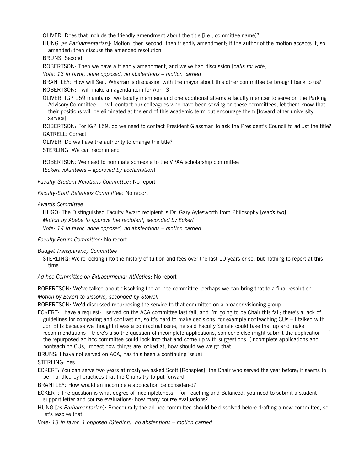OLIVER: Does that include the friendly amendment about the title [i.e., committee name]?

HUNG [*as Parliamentarian*]: Motion, then second, then friendly amendment; if the author of the motion accepts it, so amended; then discuss the amended resolution

BRUNS: Second

ROBERTSON: Then we have a friendly amendment, and we've had discussion [*calls for vote*]

*Vote: 13 in favor, none opposed, no abstentions – motion carried*

BRANTLEY: How will Sen. Wharram's discussion with the mayor about this other committee be brought back to us? ROBERTSON: I will make an agenda item for April 3

OLIVER: IGP 159 maintains two faculty members and one additional alternate faculty member to serve on the Parking Advisory Committee – I will contact our colleagues who have been serving on these committees, let them know that their positions will be eliminated at the end of this academic term but encourage them [toward other university service]

ROBERTSON: For IGP 159, do we need to contact President Glassman to ask the President's Council to adjust the title? GATRELL: Correct

OLIVER: Do we have the authority to change the title?

STERLING: We can recommend

ROBERTSON: We need to nominate someone to the VPAA scholarship committee [*Eckert volunteers – approved by acclamation*]

*Faculty-Student Relations Committee*: No report

*Faculty-Staff Relations Committee*: No report

*Awards Committee*

HUGO: The Distinguished Faculty Award recipient is Dr. Gary Aylesworth from Philosophy [*reads bio*] *Motion by Abebe to approve the recipient, seconded by Eckert Vote: 14 in favor, none opposed, no abstentions – motion carried*

*Faculty Forum Committee*: No report

*Budget Transparency Committee*

STERLING: We're looking into the history of tuition and fees over the last 10 years or so, but nothing to report at this time

*Ad hoc Committee on Extracurricular Athletics*: No report

ROBERTSON: We've talked about dissolving the ad hoc committee, perhaps we can bring that to a final resolution *Motion by Eckert to dissolve, seconded by Stowell*

ROBERTSON: We'd discussed repurposing the service to that committee on a broader visioning group

ECKERT: I have a request: I served on the ACA committee last fall, and I'm going to be Chair this fall; there's a lack of guidelines for comparing and contrasting, so it's hard to make decisions, for example nonteaching CUs – I talked with Jon Blitz because we thought it was a contractual issue, he said Faculty Senate could take that up and make recommendations – there's also the question of incomplete applications, someone else might submit the application – if the repurposed ad hoc committee could look into that and come up with suggestions; [incomplete applications and nonteaching CUs] impact how things are looked at, how should we weigh that

BRUNS: I have not served on ACA, has this been a continuing issue?

STERLING: Yes

ECKERT: You can serve two years at most; we asked Scott [Ronspies], the Chair who served the year before; it seems to be [handled by] practices that the Chairs try to put forward

BRANTLEY: How would an incomplete application be considered?

ECKERT: The question is what degree of incompleteness – for Teaching and Balanced, you need to submit a student support letter and course evaluations: how many course evaluations?

HUNG [*as Parliamentarian*]: Procedurally the ad hoc committee should be dissolved before drafting a new committee, so let's resolve that

*Vote: 13 in favor, 1 opposed (Sterling), no abstentions – motion carried*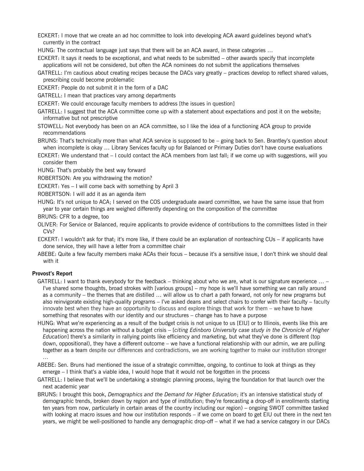- ECKERT: I move that we create an ad hoc committee to look into developing ACA award guidelines beyond what's currently in the contract
- HUNG: The contractual language just says that there will be an ACA award, in these categories …
- ECKERT: It says it needs to be exceptional, and what needs to be submitted other awards specify that incomplete applications will not be considered, but often the ACA nominees do not submit the applications themselves
- GATRELL: I'm cautious about creating recipes because the DACs vary greatly practices develop to reflect shared values, prescribing could become problematic

ECKERT: People do not submit it in the form of a DAC

GATRELL: I mean that practices vary among departments

ECKERT: We could encourage faculty members to address [the issues in question]

GATRELL: I suggest that the ACA committee come up with a statement about expectations and post it on the website; informative but not prescriptive

STOWELL: Not everybody has been on an ACA committee, so I like the idea of a functioning ACA group to provide recommendations

BRUNS: That's technically more than what ACA service is supposed to be – going back to Sen. Brantley's question about when incomplete is okay … Library Services faculty up for Balanced or Primary Duties don't have course evaluations

ECKERT: We understand that – I could contact the ACA members from last fall; if we come up with suggestions, will you consider them

HUNG: That's probably the best way forward

ROBERTSON: Are you withdrawing the motion?

ECKERT: Yes – I will come back with something by April 3

ROBERTSON: I will add it as an agenda item

HUNG: It's not unique to ACA; I served on the COS undergraduate award committee, we have the same issue that from year to year certain things are weighed differently depending on the composition of the committee

BRUNS: CFR to a degree, too

OLIVER: For Service or Balanced, require applicants to provide evidence of contributions to the committees listed in their  $CVs<sup>2</sup>$ 

ECKERT: I wouldn't ask for that; it's more like, if there could be an explanation of nonteaching CUs – if applicants have done service, they will have a letter from a committee chair

ABEBE: Quite a few faculty members make ACAs their focus – because it's a sensitive issue, I don't think we should deal with it

#### **Provost's Report**

GATRELL: I want to thank everybody for the feedback – thinking about who we are, what is our signature experience … – I've shared some thoughts, broad strokes with [various groups] – my hope is we'll have something we can rally around as a community – the themes that are distilled … will allow us to chart a path forward, not only for new programs but also reinvigorate existing high-quality programs – I've asked deans and select chairs to confer with their faculty – faculty innovate best when they have an opportunity to discuss and explore things that work for them – we have to have something that resonates with our identity and our structures – change has to have a purpose

HUNG: What we're experiencing as a result of the budget crisis is not unique to us [EIU] or to Illinois, events like this are happening across the nation without a budget crisis – [*citing Edinboro University case study in the Chronicle of Higher Education*] there's a similarity in rallying points like efficiency and marketing, but what they've done is different (top down, oppositional), they have a different outcome – we have a functional relationship with our admin, we are pulling together as a team despite our differences and contradictions, we are working together to make our institution stronger …

- ABEBE: Sen. Bruns had mentioned the issue of a strategic committee, ongoing, to continue to look at things as they emerge – I think that's a viable idea, I would hope that it would not be forgotten in the process
- GATRELL: I believe that we'll be undertaking a strategic planning process, laying the foundation for that launch over the next academic year
- BRUNS: I brought this book, *Demographics and the Demand for Higher Education*; it's an intensive statistical study of demographic trends, broken down by region and type of institution; they're forecasting a drop-off in enrollments starting ten years from now, particularly in certain areas of the country including our region) – ongoing SWOT committee tasked with looking at macro issues and how our institution responds – if we come on board to get EIU out there in the next ten years, we might be well-positioned to handle any demographic drop-off – what if we had a service category in our DACs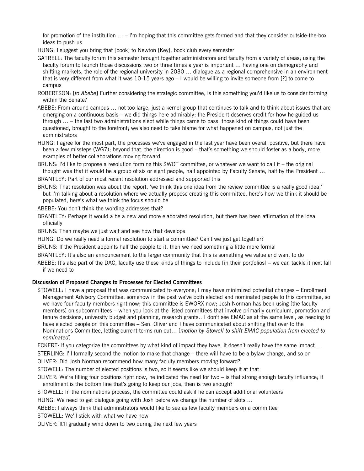for promotion of the institution ... – I'm hoping that this committee gets formed and that they consider outside-the-box ideas to push us

- HUNG: I suggest you bring that [book] to Newton [Key], book club every semester
- GATRELL: The faculty forum this semester brought together administrators and faculty from a variety of areas; using the faculty forum to launch those discussions two or three times a year is important … having one on demography and shifting markets, the role of the regional university in 2030 … dialogue as a regional comprehensive in an environment that is very different from what it was 10-15 years ago – I would be willing to invite someone from [?] to come to campus
- ROBERTSON: [*to Abebe*] Further considering the strategic committee, is this something you'd like us to consider forming within the Senate?
- ABEBE: From around campus … not too large, just a kernel group that continues to talk and to think about issues that are emerging on a continuous basis – we did things here admirably; the President deserves credit for how he guided us through … – the last two administrations slept while things came to pass; those kind of things could have been questioned, brought to the forefront; we also need to take blame for what happened on campus, not just the administrators
- HUNG: I agree for the most part, the processes we've engaged in the last year have been overall positive, but there have been a few missteps (WG7); beyond that, the direction is good – that's something we should foster as a body, more examples of better collaborations moving forward

BRUNS: I'd like to propose a resolution forming this SWOT committee, or whatever we want to call it – the original thought was that it would be a group of six or eight people, half appointed by Faculty Senate, half by the President …

BRANTLEY: Part of our most recent resolution addressed and supported this

- BRUNS: That resolution was about the report, 'we think this one idea from the review committee is a really good idea,' but I'm talking about a resolution where we actually propose creating this committee, here's how we think it should be populated, here's what we think the focus should be
- ABEBE: You don't think the wording addresses that?
- BRANTLEY: Perhaps it would a be a new and more elaborated resolution, but there has been affirmation of the idea officially
- BRUNS: Then maybe we just wait and see how that develops
- HUNG: Do we really need a formal resolution to start a committee? Can't we just get together?
- BRUNS: If the President appoints half the people to it, then we need something a little more formal
- BRANTLEY: It's also an announcement to the larger community that this is something we value and want to do
- ABEBE: It's also part of the DAC, faculty use these kinds of things to include [in their portfolios] we can tackle it next fall if we need to

#### **Discussion of Proposed Changes to Processes for Elected Committees**

STOWELL: I have a proposal that was communicated to everyone; I may have minimized potential changes – Enrollment Management Advisory Committee: somehow in the past we've both elected and nominated people to this committee, so we have four faculty members right now; this committee is EWORX now; Josh Norman has been using [the faculty members] on subcommittees – when you look at the listed committees that involve primarily curriculum, promotion and tenure decisions, university budget and planning, research grants…I don't see EMAC as at the same level, as needing to have elected people on this committee – Sen. Oliver and I have communicated about shifting that over to the Nominations Committee, letting current terms run out… [*motion by Stowell to shift EMAC population from elected to nominated*]

ECKERT: If you categorize the committees by what kind of impact they have, it doesn't really have the same impact …

STERLING: I'll formally second the motion to make that change – there will have to be a bylaw change, and so on

OLIVER: Did Josh Norman recommend how many faculty members moving forward?

STOWELL: The number of elected positions is two, so it seems like we should keep it at that

- OLIVER: We're filling four positions right now, he indicated the need for two is that strong enough faculty influence; if enrollment is the bottom line that's going to keep our jobs, then is two enough?
- STOWELL: In the nominations process, the committee could ask if he can accept additional volunteers

HUNG: We need to get dialogue going with Josh before we change the number of slots …

ABEBE: I always think that administrators would like to see as few faculty members on a committee

STOWELL: We'll stick with what we have now

OLIVER: It'll gradually wind down to two during the next few years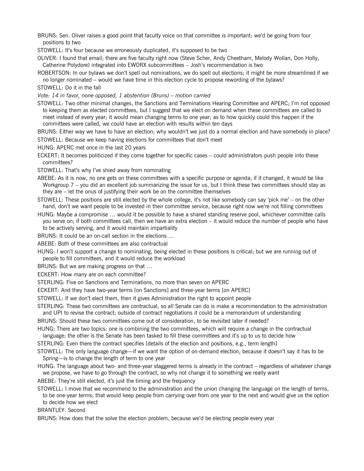- BRUNS: Sen. Oliver raises a good point that faculty voice on that committee is important; we'd be going from four positions to two
- STOWELL: It's four because we erroneously duplicated, it's supposed to be two
- OLIVER: I found that email; there are five faculty right now (Steve Scher, Andy Cheetham, Melody Wollan, Don Holly, Catherine Polydore) integrated into EWORX subcommittees – Josh's recommendation is two
- ROBERTSON: In our bylaws we don't spell out nominations, we do spell out elections; it might be more streamlined if we no longer nominated – would we have time in this election cycle to propose rewording of the bylaws?
- STOWELL: Do it in the fall

*Vote: 14 in favor, none opposed, 1 abstention (Bruns) – motion carried*

- STOWELL: Two other minimal changes, the Sanctions and Terminations Hearing Committee and APERC; I'm not opposed to keeping them as elected committees, but I suggest that we elect on demand when these committees are called to meet instead of every year; it would mean changing terms to one year; as to how quickly could this happen if the committees were called, we could have an election with results within ten days
- BRUNS: Either way we have to have an election; why wouldn't we just do a normal election and have somebody in place?
- STOWELL: Because we keep having elections for committees that don't meet

HUNG: APERC met once in the last 20 years

- ECKERT: It becomes politicized if they come together for specific cases could administrators push people into these committees?
- STOWELL: That's why I've shied away from nominating
- ABEBE: As it is now, no one gets on these committees with a specific purpose or agenda; if it changed, it would be like Workgroup 7 – you did an excellent job summarizing the issue for us, but I think these two committees should stay as they are – let the onus of justifying their work be on the committee themselves
- STOWELL: These positions are still elected by the whole college, it's not like somebody can say 'pick me' on the other hand, don't we want people to be invested in their committee service, because right now we're not filling committees
- HUNG: Maybe a compromise … would it be possible to have a shared standing reserve pool, whichever committee calls you serve on; if both committees call, then we have an extra election – it would reduce the number of people who have to be actively serving, and it would maintain impartiality
- BRUNS: It could be an on-call section in the elections …
- ABEBE: Both of these committees are also contractual
- HUNG: I won't support a change to nominating, being elected in these positions is critical; but we are running out of people to fill committees, and it would reduce the workload
- BRUNS: But we are making progress on that …
- ECKERT: How many are on each committee?
- STERLING: Five on Sanctions and Terminations, no more than seven on APERC
- ECKERT: And they have two-year terms [on Sanctions] and three-year terms [on APERC]
- STOWELL: If we don't elect them, then it gives Administration the right to appoint people
- STERLING: These two committees are contractual, so all Senate can do is make a recommendation to the administration and UPI to revise the contract; outside of contract negotiations it could be a memorandum of understanding
- BRUNS: Should these two committees come out of consideration, to be revisited later if needed?

HUNG: There are two topics: one is combining the two committees, which will require a change in the contractual language; the other is the Senate has been tasked to fill these committees and it's up to us to decide how

STERLING: Even there the contract specifies [details of the election and positions, e.g., term length]

STOWELL: The only language change—if we want the option of on-demand election, because it doesn't say it has to be Spring—is to change the length of term to one year

HUNG: The language about two- and three-year staggered terms is already in the contract – regardless of whatever change we propose, we have to go through the contract, so why not change it to something we really want

ABEBE: They're still elected, it's just the timing and the frequency

STOWELL: I move that we recommend to the administration and the union changing the language on the length of terms, to be one-year terms; that would keep people from carrying over from one year to the next and would give us the option to decide how we elect

BRANTLEY: Second

BRUNS: How does that the solve the election problem, because we'd be electing people every year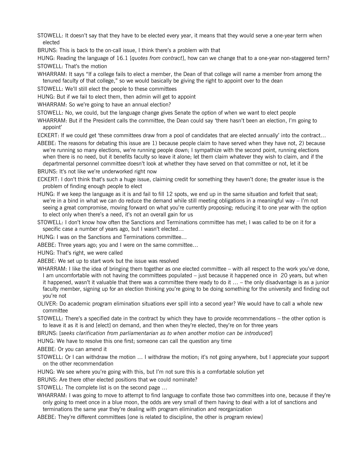STOWELL: It doesn't say that they have to be elected every year, it means that they would serve a one-year term when elected

BRUNS: This is back to the on-call issue, I think there's a problem with that

HUNG: Reading the language of 16.1 [*quotes from contract*], how can we change that to a one-year non-staggered term? STOWELL: That's the motion

WHARRAM: It says "If a college fails to elect a member, the Dean of that college will name a member from among the tenured faculty of that college," so we would basically be giving the right to appoint over to the dean

STOWELL: We'll still elect the people to these committees

HUNG: But if we fail to elect them, then admin will get to appoint

WHARRAM: So we're going to have an annual election?

STOWELL: No, we could, but the language change gives Senate the option of when we want to elect people

WHARRAM: But if the President calls the committee, the Dean could say 'there hasn't been an election, I'm going to appoint'

ECKERT: If we could get 'these committees draw from a pool of candidates that are elected annually' into the contract…

ABEBE: The reasons for debating this issue are 1) because people claim to have served when they have not, 2) because we're running so many elections, we're running people down; I sympathize with the second point, running elections when there is no need, but it benefits faculty so leave it alone; let them claim whatever they wish to claim, and if the departmental personnel committee doesn't look at whether they have served on that committee or not, let it be

BRUNS: It's not like we're underworked right now

ECKERT: I don't think that's such a huge issue, claiming credit for something they haven't done; the greater issue is the problem of finding enough people to elect

- HUNG: If we keep the language as it is and fail to fill 12 spots, we end up in the same situation and forfeit that seat; we're in a bind in what we can do reduce the demand while still meeting obligations in a meaningful way – I'm not seeing a great compromise, moving forward on what you're currently proposing; reducing it to one year with the option to elect only when there's a need, it's not an overall gain for us
- STOWELL: I don't know how often the Sanctions and Terminations committee has met; I was called to be on it for a specific case a number of years ago, but I wasn't elected…
- HUNG: I was on the Sanctions and Terminations committee…
- ABEBE: Three years ago; you and I were on the same committee…

HUNG: That's right, we were called

ABEBE: We set up to start work but the issue was resolved

- WHARRAM: I like the idea of bringing them together as one elected committee with all respect to the work you've done, I am uncomfortable with not having the committees populated – just because it happened once in 20 years, but when it happened, wasn't it valuable that there was a committee there ready to do it … – the only disadvantage is as a junior faculty member, signing up for an election thinking you're going to be doing something for the university and finding out you're not
- OLIVER: Do academic program elimination situations ever spill into a second year? We would have to call a whole new committee
- STOWELL: There's a specified date in the contract by which they have to provide recommendations the other option is to leave it as it is and [elect] on demand, and then when they're elected, they're on for three years

BRUNS: [*seeks clarification from parliamentarian as to when another motion can be introduced*]

HUNG: We have to resolve this one first; someone can call the question any time

ABEBE: Or you can amend it

STOWELL: Or I can withdraw the motion … I withdraw the motion; it's not going anywhere, but I appreciate your support on the other recommendation

HUNG: We see where you're going with this, but I'm not sure this is a comfortable solution yet

BRUNS: Are there other elected positions that we could nominate?

STOWELL: The complete list is on the second page …

WHARRAM: I was going to move to attempt to find language to conflate those two committees into one, because if they're only going to meet once in a blue moon, the odds are very small of them having to deal with a lot of sanctions and terminations the same year they're dealing with program elimination and reorganization

ABEBE: They're different committees [one is related to discipline, the other is program review]